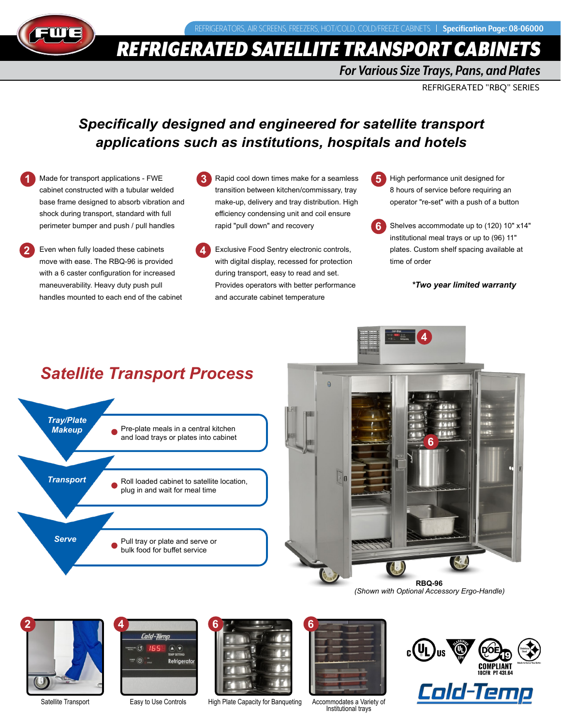

**1**

**2**

*REFRIGERATED SATELLITE TRANSPORT CABIN* 

### *For Various Size Trays, Pans, and Plates*

REFRIGERATED "RBQ" SERIES

## *Specifically designed and engineered for satellite transport applications such as institutions, hospitals and hotels*

Made for transport applications - FWE cabinet constructed with a tubular welded base frame designed to absorb vibration and shock during transport, standard with full perimeter bumper and push / pull handles

Even when fully loaded these cabinets move with ease. The RBQ-96 is provided with a 6 caster configuration for increased maneuverability. Heavy duty push pull handles mounted to each end of the cabinet

- **3** Rapid cool down times make for a seamless transition between kitchen/commissary, tray make-up, delivery and tray distribution. High efficiency condensing unit and coil ensure rapid "pull down" and recovery
- **4** Exclusive Food Sentry electronic controls, with digital display, recessed for protection during transport, easy to read and set. Provides operators with better performance and accurate cabinet temperature

**5** High performance unit designed for 8 hours of service before requiring an operator "re-set" with a push of a button

**6** Shelves accommodate up to (120) 10" x14" institutional meal trays or up to (96) 11" plates. Custom shelf spacing available at time of order

*\*Two year limited warranty*

## *Satellite Transport Process*









 $\widehat{\mathfrak{G}}$  $\textcolor{blue}{\textcircled{\textbf{A}}}(\textcolor{blue}{\blacktriangledown})$ Refrigerator



Satellite Transport **Easy to Use Controls** High Plate Capacity for Banqueting Accommodates a Variety of **Institutional trays** 



Cold-Ten